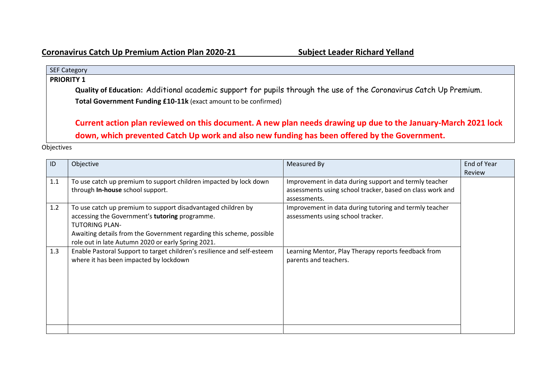## SEF Category **PRIORITY 1 Quality of Education:** Additional academic support for pupils through the use of the Coronavirus Catch Up Premium. **Total Government Funding £10-11k** (exact amount to be confirmed) **Current action plan reviewed on this document. A new plan needs drawing up due to the January-March 2021 lock**

**down, which prevented Catch Up work and also new funding has been offered by the Government.**

## **Objectives**

| ID  | Objective                                                                                                                                                                                                                                                             | Measured By                                                                                                        | End of Year   |
|-----|-----------------------------------------------------------------------------------------------------------------------------------------------------------------------------------------------------------------------------------------------------------------------|--------------------------------------------------------------------------------------------------------------------|---------------|
|     |                                                                                                                                                                                                                                                                       |                                                                                                                    | <b>Review</b> |
| 1.1 | To use catch up premium to support children impacted by lock down<br>through In-house school support.                                                                                                                                                                 | Improvement in data during support and termly teacher<br>assessments using school tracker, based on class work and |               |
| 1.2 | To use catch up premium to support disadvantaged children by<br>accessing the Government's tutoring programme.<br><b>TUTORING PLAN-</b><br>Awaiting details from the Government regarding this scheme, possible<br>role out in late Autumn 2020 or early Spring 2021. | assessments.<br>Improvement in data during tutoring and termly teacher<br>assessments using school tracker.        |               |
| 1.3 | Enable Pastoral Support to target children's resilience and self-esteem<br>where it has been impacted by lockdown                                                                                                                                                     | Learning Mentor, Play Therapy reports feedback from<br>parents and teachers.                                       |               |
|     |                                                                                                                                                                                                                                                                       |                                                                                                                    |               |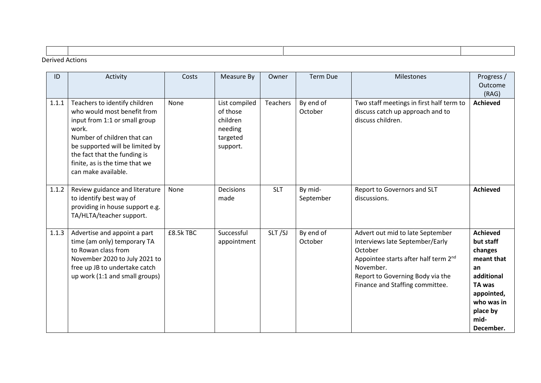| Dorived Actions |  |  |  |  |  |  |  |
|-----------------|--|--|--|--|--|--|--|

## Derived Actions

| ID    | Activity                                                                                                                                                                                                                                                          | Costs     | Measure By                                                               | Owner      | <b>Term Due</b>      | Milestones                                                                                                                                                                                                             | Progress /<br>Outcome<br>(RAG)                                                                                                                   |
|-------|-------------------------------------------------------------------------------------------------------------------------------------------------------------------------------------------------------------------------------------------------------------------|-----------|--------------------------------------------------------------------------|------------|----------------------|------------------------------------------------------------------------------------------------------------------------------------------------------------------------------------------------------------------------|--------------------------------------------------------------------------------------------------------------------------------------------------|
| 1.1.1 | Teachers to identify children<br>who would most benefit from<br>input from 1:1 or small group<br>work.<br>Number of children that can<br>be supported will be limited by<br>the fact that the funding is<br>finite, as is the time that we<br>can make available. | None      | List compiled<br>of those<br>children<br>needing<br>targeted<br>support. | Teachers   | By end of<br>October | Two staff meetings in first half term to<br>discuss catch up approach and to<br>discuss children.                                                                                                                      | <b>Achieved</b>                                                                                                                                  |
| 1.1.2 | Review guidance and literature<br>to identify best way of<br>providing in house support e.g.<br>TA/HLTA/teacher support.                                                                                                                                          | None      | Decisions<br>made                                                        | <b>SLT</b> | By mid-<br>September | Report to Governors and SLT<br>discussions.                                                                                                                                                                            | <b>Achieved</b>                                                                                                                                  |
| 1.1.3 | Advertise and appoint a part<br>time (am only) temporary TA<br>to Rowan class from<br>November 2020 to July 2021 to<br>free up JB to undertake catch<br>up work (1:1 and small groups)                                                                            | £8.5k TBC | Successful<br>appointment                                                | SLT/SJ     | By end of<br>October | Advert out mid to late September<br>Interviews late September/Early<br>October<br>Appointee starts after half term 2 <sup>nd</sup><br>November.<br>Report to Governing Body via the<br>Finance and Staffing committee. | <b>Achieved</b><br>but staff<br>changes<br>meant that<br>an<br>additional<br>TA was<br>appointed,<br>who was in<br>place by<br>mid-<br>December. |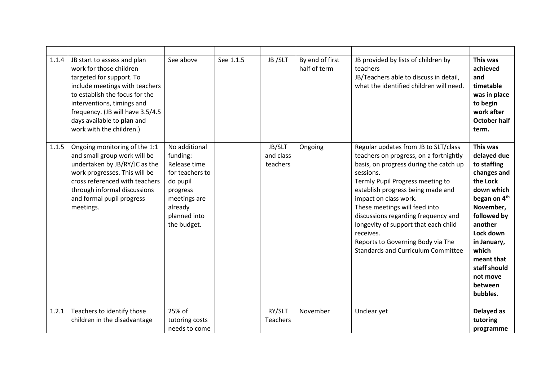| 1.1.4 | JB start to assess and plan<br>work for those children<br>targeted for support. To<br>include meetings with teachers<br>to establish the focus for the<br>interventions, timings and<br>frequency. (JB will have 3.5/4.5<br>days available to plan and<br>work with the children.) | See above                                                                                                                                      | See 1.1.5 | JB /SLT                         | By end of first<br>half of term | JB provided by lists of children by<br>teachers<br>JB/Teachers able to discuss in detail,<br>what the identified children will need.                                                                                                                                                                                                                                                                                                                   | This was<br>achieved<br>and<br>timetable<br>was in place<br>to begin<br>work after<br><b>October half</b><br>term.                                                                                                                                       |
|-------|------------------------------------------------------------------------------------------------------------------------------------------------------------------------------------------------------------------------------------------------------------------------------------|------------------------------------------------------------------------------------------------------------------------------------------------|-----------|---------------------------------|---------------------------------|--------------------------------------------------------------------------------------------------------------------------------------------------------------------------------------------------------------------------------------------------------------------------------------------------------------------------------------------------------------------------------------------------------------------------------------------------------|----------------------------------------------------------------------------------------------------------------------------------------------------------------------------------------------------------------------------------------------------------|
| 1.1.5 | Ongoing monitoring of the 1:1<br>and small group work will be<br>undertaken by JB/RY/JC as the<br>work progresses. This will be<br>cross referenced with teachers<br>through informal discussions<br>and formal pupil progress<br>meetings.                                        | No additional<br>funding:<br>Release time<br>for teachers to<br>do pupil<br>progress<br>meetings are<br>already<br>planned into<br>the budget. |           | JB/SLT<br>and class<br>teachers | Ongoing                         | Regular updates from JB to SLT/class<br>teachers on progress, on a fortnightly<br>basis, on progress during the catch up<br>sessions.<br>Termly Pupil Progress meeting to<br>establish progress being made and<br>impact on class work.<br>These meetings will feed into<br>discussions regarding frequency and<br>longevity of support that each child<br>receives.<br>Reports to Governing Body via The<br><b>Standards and Curriculum Committee</b> | This was<br>delayed due<br>to staffing<br>changes and<br>the Lock<br>down which<br>began on 4 <sup>th</sup><br>November,<br>followed by<br>another<br>Lock down<br>in January,<br>which<br>meant that<br>staff should<br>not move<br>between<br>bubbles. |
| 1.2.1 | Teachers to identify those<br>children in the disadvantage                                                                                                                                                                                                                         | 25% of<br>tutoring costs<br>needs to come                                                                                                      |           | RY/SLT<br>Teachers              | November                        | Unclear yet                                                                                                                                                                                                                                                                                                                                                                                                                                            | Delayed as<br>tutoring<br>programme                                                                                                                                                                                                                      |